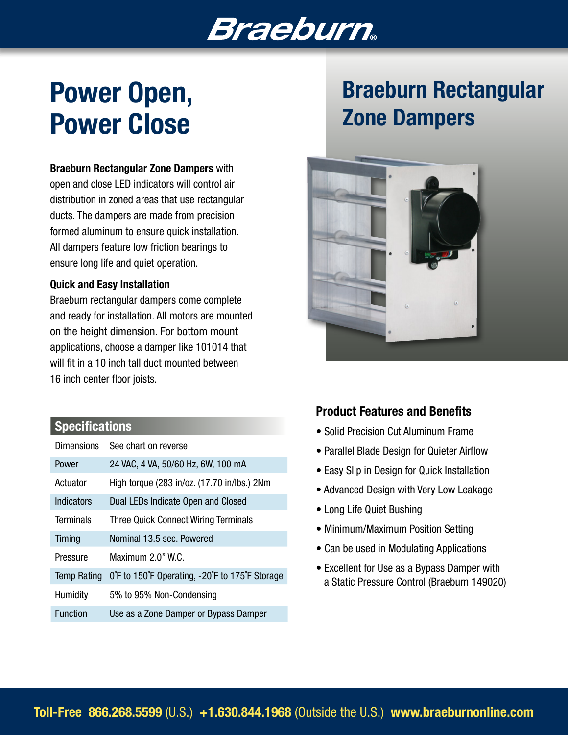# **Braeburn**

# Power Open, Power Close

#### Braeburn Rectangular Zone Dampers with

open and close LED indicators will control air distribution in zoned areas that use rectangular ducts. The dampers are made from precision formed aluminum to ensure quick installation. All dampers feature low friction bearings to ensure long life and quiet operation.

#### Quick and Easy Installation

Braeburn rectangular dampers come complete and ready for installation. All motors are mounted on the height dimension. For bottom mount applications, choose a damper like 101014 that will fit in a 10 inch tall duct mounted between 16 inch center floor joists.

### **Specifications**

| <b>Dimensions</b>  | See chart on reverse                          |
|--------------------|-----------------------------------------------|
| Power              | 24 VAC, 4 VA, 50/60 Hz, 6W, 100 mA            |
| Actuator           | High torque (283 in/oz. (17.70 in/lbs.) 2Nm   |
| Indicators         | Dual LEDs Indicate Open and Closed            |
| <b>Terminals</b>   | <b>Three Quick Connect Wiring Terminals</b>   |
| Timing             | Nominal 13.5 sec. Powered                     |
| Pressure           | Maximum 2.0" W.C.                             |
| <b>Temp Rating</b> | OF to 150°F Operating, -20°F to 175°F Storage |
| Humidity           | 5% to 95% Non-Condensing                      |
| <b>Function</b>    | Use as a Zone Damper or Bypass Damper         |

# Braeburn Rectangular Zone Dampers



### Product Features and Benefits

- Solid Precision Cut Aluminum Frame
- Parallel Blade Design for Quieter Airflow
- Easy Slip in Design for Quick Installation
- Advanced Design with Very Low Leakage
- Long Life Quiet Bushing
- Minimum/Maximum Position Setting
- Can be used in Modulating Applications
- Excellent for Use as a Bypass Damper with a Static Pressure Control (Braeburn 149020)